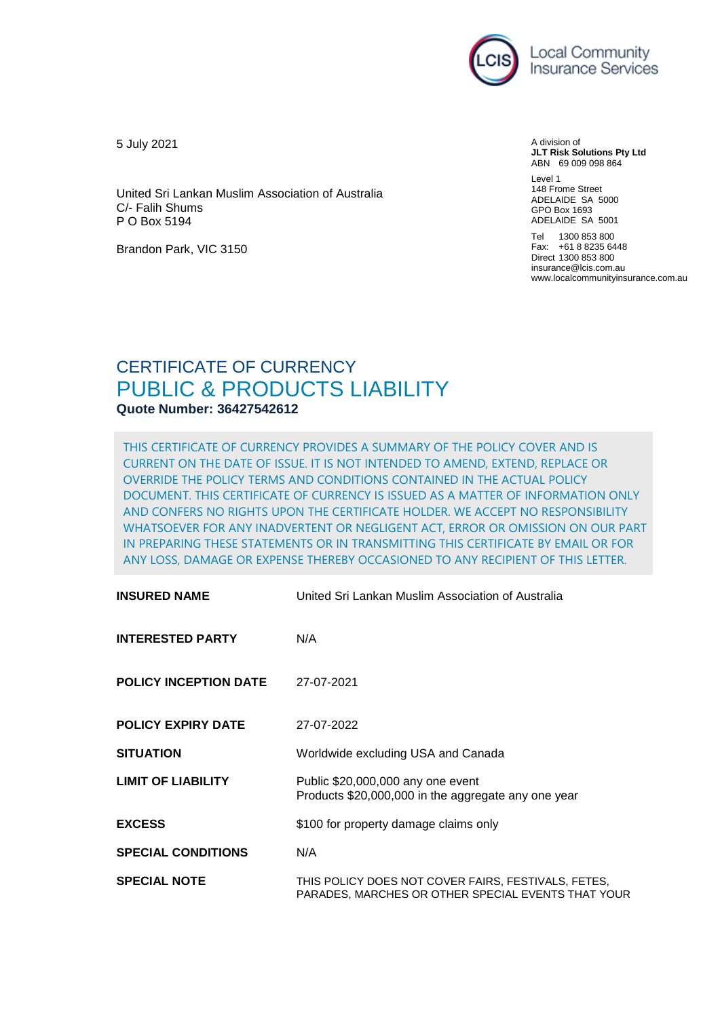

5 July 2021

United Sri Lankan Muslim Association of Australia C/- Falih Shums P O Box 5194

Brandon Park, VIC 3150

A division of **JLT Risk Solutions Pty Ltd** ABN 69 009 098 864

Level 1 148 Frome Street ADELAIDE SA 5000 GPO Box 1693 ADELAIDE SA 5001

Tel 1300 853 800 Fax: +61 8 8235 6448 Direct 1300 853 800 insurance@lcis.com.au www.localcommunityinsurance.com.au

## CERTIFICATE OF CURRENCY PUBLIC & PRODUCTS LIABILITY **Quote Number: 36427542612**

THIS CERTIFICATE OF CURRENCY PROVIDES A SUMMARY OF THE POLICY COVER AND IS CURRENT ON THE DATE OF ISSUE. IT IS NOT INTENDED TO AMEND, EXTEND, REPLACE OR OVERRIDE THE POLICY TERMS AND CONDITIONS CONTAINED IN THE ACTUAL POLICY DOCUMENT. THIS CERTIFICATE OF CURRENCY IS ISSUED AS A MATTER OF INFORMATION ONLY AND CONFERS NO RIGHTS UPON THE CERTIFICATE HOLDER. WE ACCEPT NO RESPONSIBILITY WHATSOEVER FOR ANY INADVERTENT OR NEGLIGENT ACT, ERROR OR OMISSION ON OUR PART IN PREPARING THESE STATEMENTS OR IN TRANSMITTING THIS CERTIFICATE BY EMAIL OR FOR ANY LOSS, DAMAGE OR EXPENSE THEREBY OCCASIONED TO ANY RECIPIENT OF THIS LETTER.

| <b>INSURED NAME</b>          | United Sri Lankan Muslim Association of Australia                                                         |
|------------------------------|-----------------------------------------------------------------------------------------------------------|
| <b>INTERESTED PARTY</b>      | N/A                                                                                                       |
| <b>POLICY INCEPTION DATE</b> | 27-07-2021                                                                                                |
| <b>POLICY EXPIRY DATE</b>    | 27-07-2022                                                                                                |
| <b>SITUATION</b>             | Worldwide excluding USA and Canada                                                                        |
| <b>LIMIT OF LIABILITY</b>    | Public \$20,000,000 any one event<br>Products \$20,000,000 in the aggregate any one year                  |
| <b>EXCESS</b>                | \$100 for property damage claims only                                                                     |
| <b>SPECIAL CONDITIONS</b>    | N/A                                                                                                       |
| <b>SPECIAL NOTE</b>          | THIS POLICY DOES NOT COVER FAIRS, FESTIVALS, FETES,<br>PARADES, MARCHES OR OTHER SPECIAL EVENTS THAT YOUR |